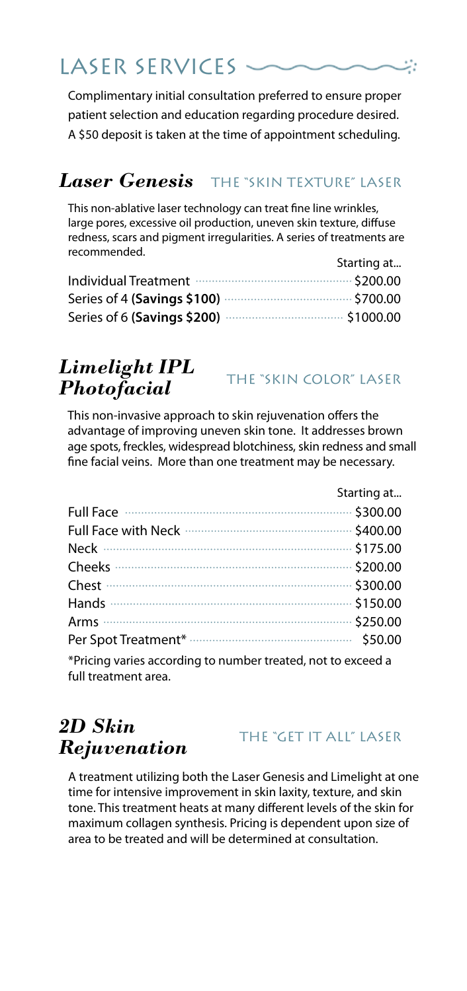# LASER SERVICES -

Complimentary initial consultation preferred to ensure proper patient selection and education regarding procedure desired. A \$50 deposit is taken at the time of appointment scheduling.

## $\boldsymbol{Laser}$   $\boldsymbol{Genesis}$  . The "skin texture" laser

This non-ablative laser technology can treat fine line wrinkles, large pores, excessive oil production, uneven skin texture, diffuse redness, scars and pigment irregularities. A series of treatments are recommended. Starting at.

|                                               | starting at |
|-----------------------------------------------|-------------|
| Individual Treatment manufactured and S200.00 |             |
|                                               |             |
|                                               |             |

## *Limelight IPL Photofacial*

THE "SKIN COLOR" LASER

This non-invasive approach to skin rejuvenation offers the advantage of improving uneven skin tone. It addresses brown age spots, freckles, widespread blotchiness, skin redness and small fine facial veins. More than one treatment may be necessary.

|                                                                                      | Starting at |
|--------------------------------------------------------------------------------------|-------------|
| Full Face minimum minimum contractors (300.00                                        |             |
|                                                                                      |             |
|                                                                                      |             |
|                                                                                      |             |
|                                                                                      |             |
|                                                                                      |             |
|                                                                                      |             |
|                                                                                      |             |
| *Pricing varies according to number treated, not to exceed a<br>full treatment area. |             |

## *2D Skin Rejuvenation*

#### THE "GET IT ALL" LASER

A treatment utilizing both the Laser Genesis and Limelight at one time for intensive improvement in skin laxity, texture, and skin tone. This treatment heats at many different levels of the skin for maximum collagen synthesis. Pricing is dependent upon size of area to be treated and will be determined at consultation.

:ئە